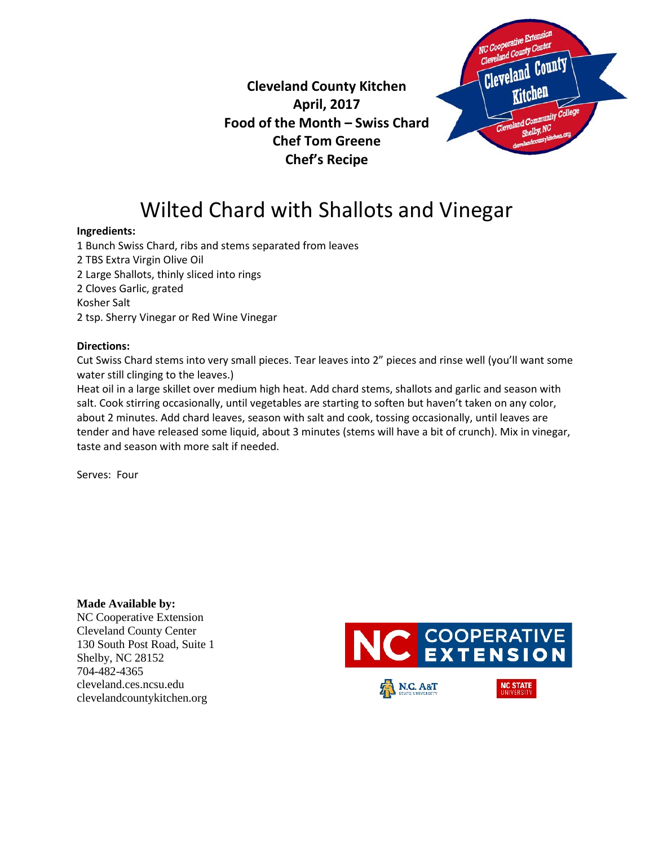

### **Cleveland County Kitchen April, 2017 Food of the Month – Swiss Chard Chef Tom Greene Chef's Recipe**

# Wilted Chard with Shallots and Vinegar

#### **Ingredients:**

1 Bunch Swiss Chard, ribs and stems separated from leaves 2 TBS Extra Virgin Olive Oil 2 Large Shallots, thinly sliced into rings 2 Cloves Garlic, grated Kosher Salt 2 tsp. Sherry Vinegar or Red Wine Vinegar

#### **Directions:**

Cut Swiss Chard stems into very small pieces. Tear leaves into 2" pieces and rinse well (you'll want some water still clinging to the leaves.)

Heat oil in a large skillet over medium high heat. Add chard stems, shallots and garlic and season with salt. Cook stirring occasionally, until vegetables are starting to soften but haven't taken on any color, about 2 minutes. Add chard leaves, season with salt and cook, tossing occasionally, until leaves are tender and have released some liquid, about 3 minutes (stems will have a bit of crunch). Mix in vinegar, taste and season with more salt if needed.

Serves: Four

**Made Available by:**  NC Cooperative Extension Cleveland County Center 130 South Post Road, Suite 1 Shelby, NC 28152 704-482-4365 cleveland.ces.ncsu.edu clevelandcountykitchen.org